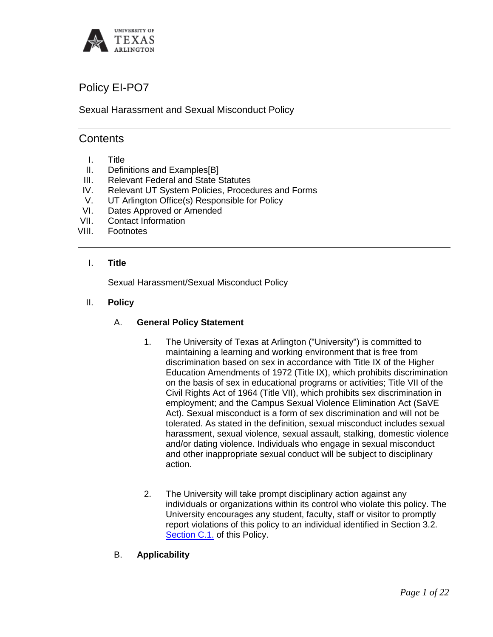

# Policy EI-PO7

Sexual Harassment and Sexual Misconduct Policy

# **Contents**

- I. Title
- II. Definitions and Examples[B]
- 
- III. Relevant Federal and State Statutes<br>IV. Relevant UT System Policies. Proced Relevant UT System Policies, Procedures and Forms
- V. UT Arlington Office(s) Responsible for Policy
- VI. Dates Approved or Amended
- VII. Contact Information
- VIII. Footnotes

#### I. **Title**

Sexual Harassment/Sexual Misconduct Policy

#### II. **Policy**

#### A. **General Policy Statement**

- 1. The University of Texas at Arlington ("University") is committed to maintaining a learning and working environment that is free from discrimination based on sex in accordance with Title IX of the Higher Education Amendments of 1972 (Title IX), which prohibits discrimination on the basis of sex in educational programs or activities; Title VII of the Civil Rights Act of 1964 (Title VII), which prohibits sex discrimination in employment; and the Campus Sexual Violence Elimination Act (SaVE Act). Sexual misconduct is a form of sex discrimination and will not be tolerated. As stated in the definition, sexual misconduct includes sexual harassment, sexual violence, sexual assault, stalking, domestic violence and/or dating violence. Individuals who engage in sexual misconduct and other inappropriate sexual conduct will be subject to disciplinary action.
- 2. The University will take prompt disciplinary action against any individuals or organizations within its control who violate this policy. The University encourages any student, faculty, staff or visitor to promptly report violations of this policy to an individual identified in Section 3.2. Section C.1. of this Policy.
- B. **Applicability**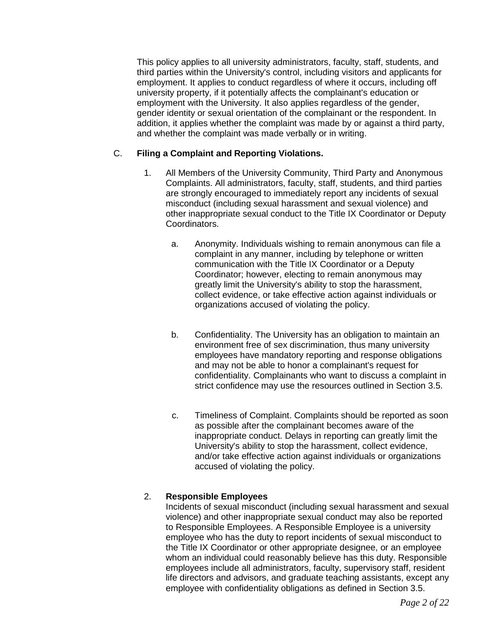This policy applies to all university administrators, faculty, staff, students, and third parties within the University's control, including visitors and applicants for employment. It applies to conduct regardless of where it occurs, including off university property, if it potentially affects the complainant's education or employment with the University. It also applies regardless of the gender, gender identity or sexual orientation of the complainant or the respondent. In addition, it applies whether the complaint was made by or against a third party, and whether the complaint was made verbally or in writing.

## C. **Filing a Complaint and Reporting Violations.**

- 1. All Members of the University Community, Third Party and Anonymous Complaints. All administrators, faculty, staff, students, and third parties are strongly encouraged to immediately report any incidents of sexual misconduct (including sexual harassment and sexual violence) and other inappropriate sexual conduct to the Title IX Coordinator or Deputy Coordinators.
	- a. Anonymity. Individuals wishing to remain anonymous can file a complaint in any manner, including by telephone or written communication with the Title IX Coordinator or a Deputy Coordinator; however, electing to remain anonymous may greatly limit the University's ability to stop the harassment, collect evidence, or take effective action against individuals or organizations accused of violating the policy.
	- b. Confidentiality. The University has an obligation to maintain an environment free of sex discrimination, thus many university employees have mandatory reporting and response obligations and may not be able to honor a complainant's request for confidentiality. Complainants who want to discuss a complaint in strict confidence may use the resources outlined in Section 3.5.
	- c. Timeliness of Complaint. Complaints should be reported as soon as possible after the complainant becomes aware of the inappropriate conduct. Delays in reporting can greatly limit the University's ability to stop the harassment, collect evidence, and/or take effective action against individuals or organizations accused of violating the policy.

## 2. **Responsible Employees**

Incidents of sexual misconduct (including sexual harassment and sexual violence) and other inappropriate sexual conduct may also be reported to Responsible Employees. A Responsible Employee is a university employee who has the duty to report incidents of sexual misconduct to the Title IX Coordinator or other appropriate designee, or an employee whom an individual could reasonably believe has this duty. Responsible employees include all administrators, faculty, supervisory staff, resident life directors and advisors, and graduate teaching assistants, except any employee with confidentiality obligations as defined in Section 3.5.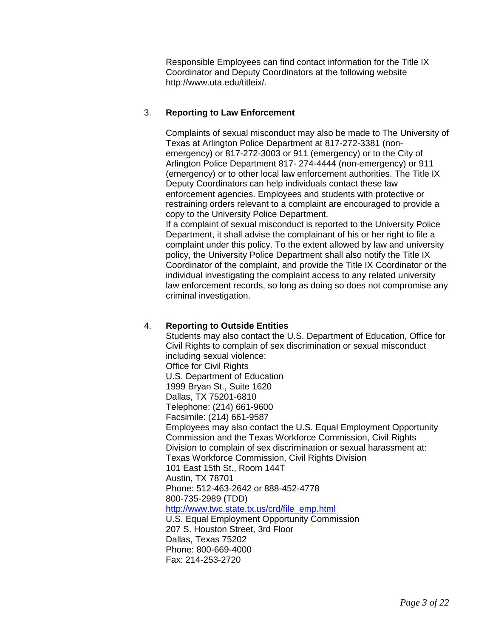Responsible Employees can find contact information for the Title IX Coordinator and Deputy Coordinators at the following website http://www.uta.edu/titleix/.

# 3. **Reporting to Law Enforcement**

Complaints of sexual misconduct may also be made to The University of Texas at Arlington Police Department at 817-272-3381 (nonemergency) or 817-272-3003 or 911 (emergency) or to the City of Arlington Police Department 817- 274-4444 (non-emergency) or 911 (emergency) or to other local law enforcement authorities. The Title IX Deputy Coordinators can help individuals contact these law enforcement agencies. Employees and students with protective or restraining orders relevant to a complaint are encouraged to provide a copy to the University Police Department.

If a complaint of sexual misconduct is reported to the University Police Department, it shall advise the complainant of his or her right to file a complaint under this policy. To the extent allowed by law and university policy, the University Police Department shall also notify the Title IX Coordinator of the complaint, and provide the Title IX Coordinator or the individual investigating the complaint access to any related university law enforcement records, so long as doing so does not compromise any criminal investigation.

## 4. **Reporting to Outside Entities**

Students may also contact the U.S. Department of Education, Office for Civil Rights to complain of sex discrimination or sexual misconduct including sexual violence: Office for Civil Rights U.S. Department of Education 1999 Bryan St., Suite 1620 Dallas, TX 75201-6810 Telephone: (214) 661-9600 Facsimile: (214) 661-9587 Employees may also contact the U.S. Equal Employment Opportunity Commission and the Texas Workforce Commission, Civil Rights Division to complain of sex discrimination or sexual harassment at: Texas Workforce Commission, Civil Rights Division 101 East 15th St., Room 144T Austin, TX 78701 Phone: 512-463-2642 or 888-452-4778 800-735-2989 (TDD) [http://www.twc.state.tx.us/crd/file\\_emp.html](http://www.twc.state.tx.us/crd/file_emp.html) U.S. Equal Employment Opportunity Commission 207 S. Houston Street, 3rd Floor Dallas, Texas 75202 Phone: 800-669-4000 Fax: 214-253-2720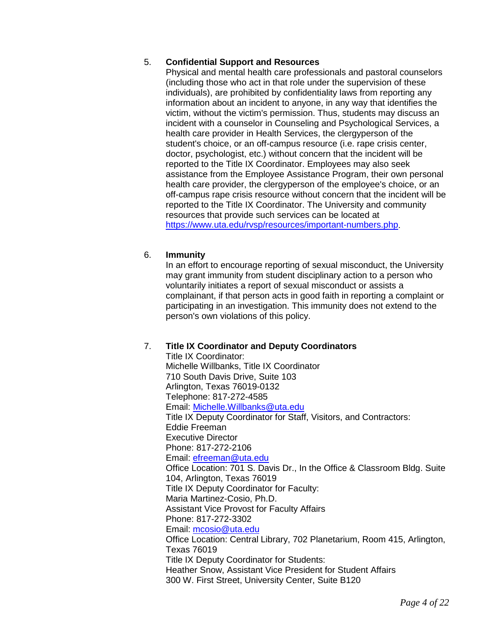# 5. **Confidential Support and Resources**

Physical and mental health care professionals and pastoral counselors (including those who act in that role under the supervision of these individuals), are prohibited by confidentiality laws from reporting any information about an incident to anyone, in any way that identifies the victim, without the victim's permission. Thus, students may discuss an incident with a counselor in Counseling and Psychological Services, a health care provider in Health Services, the clergyperson of the student's choice, or an off-campus resource (i.e. rape crisis center, doctor, psychologist, etc.) without concern that the incident will be reported to the Title IX Coordinator. Employees may also seek assistance from the Employee Assistance Program, their own personal health care provider, the clergyperson of the employee's choice, or an off-campus rape crisis resource without concern that the incident will be reported to the Title IX Coordinator. The University and community resources that provide such services can be located at [https://www.uta.edu/rvsp/resources/important-numbers.php.](https://www.uta.edu/rvsp/resources/important-numbers.php)

## 6. **Immunity**

In an effort to encourage reporting of sexual misconduct, the University may grant immunity from student disciplinary action to a person who voluntarily initiates a report of sexual misconduct or assists a complainant, if that person acts in good faith in reporting a complaint or participating in an investigation. This immunity does not extend to the person's own violations of this policy.

## 7. **Title IX Coordinator and Deputy Coordinators**

Title IX Coordinator: Michelle Willbanks, Title IX Coordinator 710 South Davis Drive, Suite 103 Arlington, Texas 76019-0132 Telephone: 817-272-4585 Email: [Michelle.Willbanks@uta.edu](mailto:Michelle.Willbanks@uta.edu) Title IX Deputy Coordinator for Staff, Visitors, and Contractors: Eddie Freeman Executive Director Phone: 817-272-2106 Email: [efreeman@uta.edu](mailto:efreeman@uta.edu) Office Location: 701 S. Davis Dr., In the Office & Classroom Bldg. Suite 104, Arlington, Texas 76019 Title IX Deputy Coordinator for Faculty: Maria Martinez-Cosio, Ph.D. Assistant Vice Provost for Faculty Affairs Phone: 817-272-3302 Email: [mcosio@uta.edu](mailto:mcosio@uta.edu) Office Location: Central Library, 702 Planetarium, Room 415, Arlington, Texas 76019 Title IX Deputy Coordinator for Students: Heather Snow, Assistant Vice President for Student Affairs 300 W. First Street, University Center, Suite B120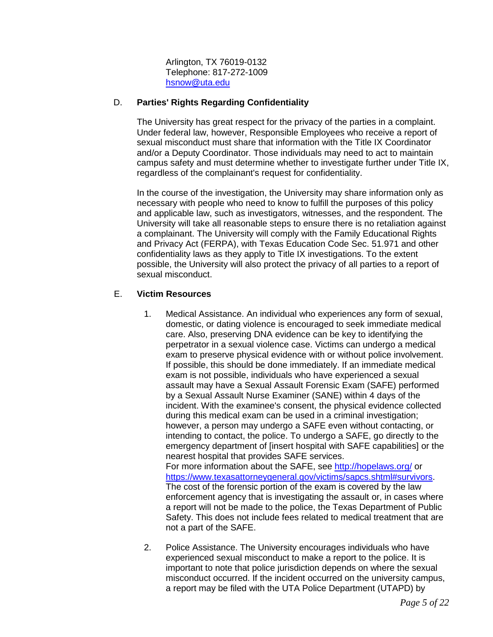Arlington, TX 76019-0132 Telephone: 817-272-1009 [hsnow@uta.edu](mailto:hsnow@uta.edu)

## D. **Parties' Rights Regarding Confidentiality**

The University has great respect for the privacy of the parties in a complaint. Under federal law, however, Responsible Employees who receive a report of sexual misconduct must share that information with the Title IX Coordinator and/or a Deputy Coordinator. Those individuals may need to act to maintain campus safety and must determine whether to investigate further under Title IX, regardless of the complainant's request for confidentiality.

In the course of the investigation, the University may share information only as necessary with people who need to know to fulfill the purposes of this policy and applicable law, such as investigators, witnesses, and the respondent. The University will take all reasonable steps to ensure there is no retaliation against a complainant. The University will comply with the Family Educational Rights and Privacy Act (FERPA), with Texas Education Code Sec. 51.971 and other confidentiality laws as they apply to Title IX investigations. To the extent possible, the University will also protect the privacy of all parties to a report of sexual misconduct.

# E. **Victim Resources**

1. Medical Assistance. An individual who experiences any form of sexual, domestic, or dating violence is encouraged to seek immediate medical care. Also, preserving DNA evidence can be key to identifying the perpetrator in a sexual violence case. Victims can undergo a medical exam to preserve physical evidence with or without police involvement. If possible, this should be done immediately. If an immediate medical exam is not possible, individuals who have experienced a sexual assault may have a Sexual Assault Forensic Exam (SAFE) performed by a Sexual Assault Nurse Examiner (SANE) within 4 days of the incident. With the examinee's consent, the physical evidence collected during this medical exam can be used in a criminal investigation; however, a person may undergo a SAFE even without contacting, or intending to contact, the police. To undergo a SAFE, go directly to the emergency department of [insert hospital with SAFE capabilities] or the nearest hospital that provides SAFE services. For more information about the SAFE, see<http://hopelaws.org/> or

[https://www.texasattorneygeneral.gov/victims/sapcs.shtml#survivors.](https://www.texasattorneygeneral.gov/victims/sapcs.shtml#survivors) The cost of the forensic portion of the exam is covered by the law enforcement agency that is investigating the assault or, in cases where a report will not be made to the police, the Texas Department of Public Safety. This does not include fees related to medical treatment that are not a part of the SAFE.

2. Police Assistance. The University encourages individuals who have experienced sexual misconduct to make a report to the police. It is important to note that police jurisdiction depends on where the sexual misconduct occurred. If the incident occurred on the university campus, a report may be filed with the UTA Police Department (UTAPD) by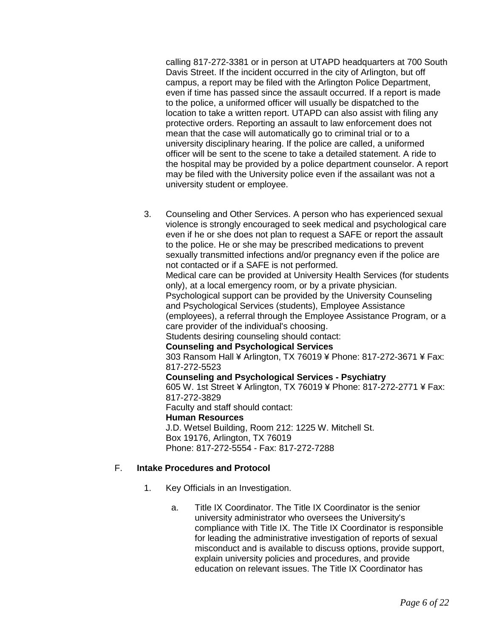calling 817-272-3381 or in person at UTAPD headquarters at 700 South Davis Street. If the incident occurred in the city of Arlington, but off campus, a report may be filed with the Arlington Police Department, even if time has passed since the assault occurred. If a report is made to the police, a uniformed officer will usually be dispatched to the location to take a written report. UTAPD can also assist with filing any protective orders. Reporting an assault to law enforcement does not mean that the case will automatically go to criminal trial or to a university disciplinary hearing. If the police are called, a uniformed officer will be sent to the scene to take a detailed statement. A ride to the hospital may be provided by a police department counselor. A report may be filed with the University police even if the assailant was not a university student or employee.

3. Counseling and Other Services. A person who has experienced sexual violence is strongly encouraged to seek medical and psychological care even if he or she does not plan to request a SAFE or report the assault to the police. He or she may be prescribed medications to prevent sexually transmitted infections and/or pregnancy even if the police are not contacted or if a SAFE is not performed. Medical care can be provided at University Health Services (for students only), at a local emergency room, or by a private physician. Psychological support can be provided by the University Counseling and Psychological Services (students), Employee Assistance (employees), a referral through the Employee Assistance Program, or a care provider of the individual's choosing. Students desiring counseling should contact: **Counseling and Psychological Services** 303 Ransom Hall ¥ Arlington, TX 76019 ¥ Phone: 817-272-3671 ¥ Fax: 817-272-5523 **Counseling and Psychological Services - Psychiatry** 605 W. 1st Street ¥ Arlington, TX 76019 ¥ Phone: 817-272-2771 ¥ Fax: 817-272-3829 Faculty and staff should contact: **Human Resources** J.D. Wetsel Building, Room 212: 1225 W. Mitchell St. Box 19176, Arlington, TX 76019

Phone: 817-272-5554 - Fax: 817-272-7288

## F. **Intake Procedures and Protocol**

- 1. Key Officials in an Investigation.
	- a. Title IX Coordinator. The Title IX Coordinator is the senior university administrator who oversees the University's compliance with Title IX. The Title IX Coordinator is responsible for leading the administrative investigation of reports of sexual misconduct and is available to discuss options, provide support, explain university policies and procedures, and provide education on relevant issues. The Title IX Coordinator has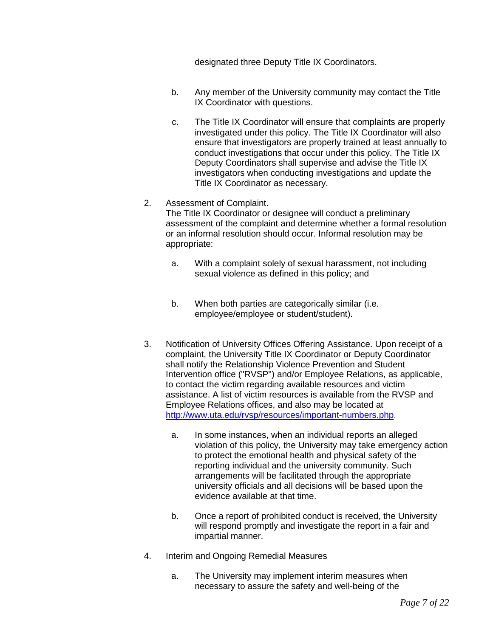designated three Deputy Title IX Coordinators.

- b. Any member of the University community may contact the Title IX Coordinator with questions.
- c. The Title IX Coordinator will ensure that complaints are properly investigated under this policy. The Title IX Coordinator will also ensure that investigators are properly trained at least annually to conduct investigations that occur under this policy. The Title IX Deputy Coordinators shall supervise and advise the Title IX investigators when conducting investigations and update the Title IX Coordinator as necessary.
- 2. Assessment of Complaint. The Title IX Coordinator or designee will conduct a preliminary assessment of the complaint and determine whether a formal resolution or an informal resolution should occur. Informal resolution may be appropriate:
	- a. With a complaint solely of sexual harassment, not including sexual violence as defined in this policy; and
	- b. When both parties are categorically similar (i.e. employee/employee or student/student).
- 3. Notification of University Offices Offering Assistance. Upon receipt of a complaint, the University Title IX Coordinator or Deputy Coordinator shall notify the Relationship Violence Prevention and Student Intervention office ("RVSP") and/or Employee Relations, as applicable, to contact the victim regarding available resources and victim assistance. A list of victim resources is available from the RVSP and Employee Relations offices, and also may be located at [http://www.uta.edu/rvsp/resources/important-numbers.php.](http://www.uta.edu/rvsp/resources/important-numbers.php)
	- a. In some instances, when an individual reports an alleged violation of this policy, the University may take emergency action to protect the emotional health and physical safety of the reporting individual and the university community. Such arrangements will be facilitated through the appropriate university officials and all decisions will be based upon the evidence available at that time.
	- b. Once a report of prohibited conduct is received, the University will respond promptly and investigate the report in a fair and impartial manner.
- 4. Interim and Ongoing Remedial Measures
	- a. The University may implement interim measures when necessary to assure the safety and well-being of the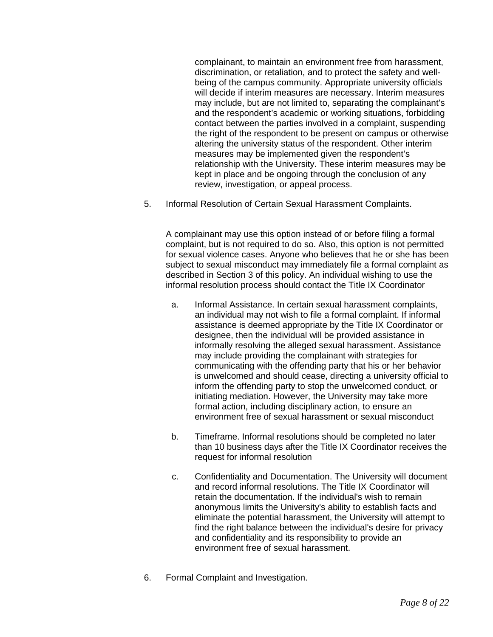complainant, to maintain an environment free from harassment, discrimination, or retaliation, and to protect the safety and wellbeing of the campus community. Appropriate university officials will decide if interim measures are necessary. Interim measures may include, but are not limited to, separating the complainant's and the respondent's academic or working situations, forbidding contact between the parties involved in a complaint, suspending the right of the respondent to be present on campus or otherwise altering the university status of the respondent. Other interim measures may be implemented given the respondent's relationship with the University. These interim measures may be kept in place and be ongoing through the conclusion of any review, investigation, or appeal process.

5. Informal Resolution of Certain Sexual Harassment Complaints.

A complainant may use this option instead of or before filing a formal complaint, but is not required to do so. Also, this option is not permitted for sexual violence cases. Anyone who believes that he or she has been subject to sexual misconduct may immediately file a formal complaint as described in Section 3 of this policy. An individual wishing to use the informal resolution process should contact the Title IX Coordinator

- a. Informal Assistance. In certain sexual harassment complaints, an individual may not wish to file a formal complaint. If informal assistance is deemed appropriate by the Title IX Coordinator or designee, then the individual will be provided assistance in informally resolving the alleged sexual harassment. Assistance may include providing the complainant with strategies for communicating with the offending party that his or her behavior is unwelcomed and should cease, directing a university official to inform the offending party to stop the unwelcomed conduct, or initiating mediation. However, the University may take more formal action, including disciplinary action, to ensure an environment free of sexual harassment or sexual misconduct
- b. Timeframe. Informal resolutions should be completed no later than 10 business days after the Title IX Coordinator receives the request for informal resolution
- c. Confidentiality and Documentation. The University will document and record informal resolutions. The Title IX Coordinator will retain the documentation. If the individual's wish to remain anonymous limits the University's ability to establish facts and eliminate the potential harassment, the University will attempt to find the right balance between the individual's desire for privacy and confidentiality and its responsibility to provide an environment free of sexual harassment.
- 6. Formal Complaint and Investigation.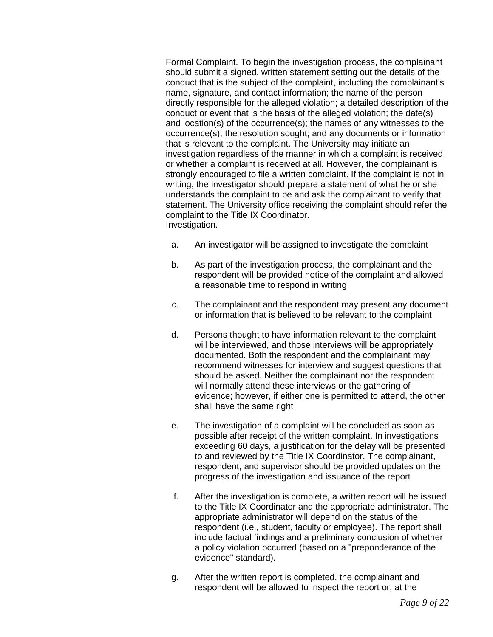Formal Complaint. To begin the investigation process, the complainant should submit a signed, written statement setting out the details of the conduct that is the subject of the complaint, including the complainant's name, signature, and contact information; the name of the person directly responsible for the alleged violation; a detailed description of the conduct or event that is the basis of the alleged violation; the date(s) and location(s) of the occurrence(s); the names of any witnesses to the occurrence(s); the resolution sought; and any documents or information that is relevant to the complaint. The University may initiate an investigation regardless of the manner in which a complaint is received or whether a complaint is received at all. However, the complainant is strongly encouraged to file a written complaint. If the complaint is not in writing, the investigator should prepare a statement of what he or she understands the complaint to be and ask the complainant to verify that statement. The University office receiving the complaint should refer the complaint to the Title IX Coordinator. Investigation.

- a. An investigator will be assigned to investigate the complaint
- b. As part of the investigation process, the complainant and the respondent will be provided notice of the complaint and allowed a reasonable time to respond in writing
- c. The complainant and the respondent may present any document or information that is believed to be relevant to the complaint
- d. Persons thought to have information relevant to the complaint will be interviewed, and those interviews will be appropriately documented. Both the respondent and the complainant may recommend witnesses for interview and suggest questions that should be asked. Neither the complainant nor the respondent will normally attend these interviews or the gathering of evidence; however, if either one is permitted to attend, the other shall have the same right
- e. The investigation of a complaint will be concluded as soon as possible after receipt of the written complaint. In investigations exceeding 60 days, a justification for the delay will be presented to and reviewed by the Title IX Coordinator. The complainant, respondent, and supervisor should be provided updates on the progress of the investigation and issuance of the report
- f. After the investigation is complete, a written report will be issued to the Title IX Coordinator and the appropriate administrator. The appropriate administrator will depend on the status of the respondent (i.e., student, faculty or employee). The report shall include factual findings and a preliminary conclusion of whether a policy violation occurred (based on a "preponderance of the evidence" standard).
- g. After the written report is completed, the complainant and respondent will be allowed to inspect the report or, at the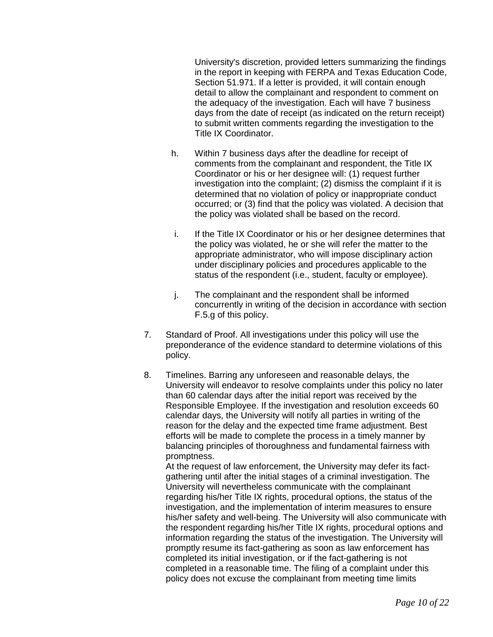University's discretion, provided letters summarizing the findings in the report in keeping with FERPA and Texas Education Code, Section 51.971. If a letter is provided, it will contain enough detail to allow the complainant and respondent to comment on the adequacy of the investigation. Each will have 7 business days from the date of receipt (as indicated on the return receipt) to submit written comments regarding the investigation to the Title IX Coordinator.

- h. Within 7 business days after the deadline for receipt of comments from the complainant and respondent, the Title IX Coordinator or his or her designee will: (1) request further investigation into the complaint; (2) dismiss the complaint if it is determined that no violation of policy or inappropriate conduct occurred; or (3) find that the policy was violated. A decision that the policy was violated shall be based on the record.
- i. If the Title IX Coordinator or his or her designee determines that the policy was violated, he or she will refer the matter to the appropriate administrator, who will impose disciplinary action under disciplinary policies and procedures applicable to the status of the respondent (i.e., student, faculty or employee).
- j. The complainant and the respondent shall be informed concurrently in writing of the decision in accordance with section F.5.g of this policy.
- 7. Standard of Proof. All investigations under this policy will use the preponderance of the evidence standard to determine violations of this policy.
- 8. Timelines. Barring any unforeseen and reasonable delays, the University will endeavor to resolve complaints under this policy no later than 60 calendar days after the initial report was received by the Responsible Employee. If the investigation and resolution exceeds 60 calendar days, the University will notify all parties in writing of the reason for the delay and the expected time frame adjustment. Best efforts will be made to complete the process in a timely manner by balancing principles of thoroughness and fundamental fairness with promptness.

At the request of law enforcement, the University may defer its factgathering until after the initial stages of a criminal investigation. The University will nevertheless communicate with the complainant regarding his/her Title IX rights, procedural options, the status of the investigation, and the implementation of interim measures to ensure his/her safety and well-being. The University will also communicate with the respondent regarding his/her Title IX rights, procedural options and information regarding the status of the investigation. The University will promptly resume its fact-gathering as soon as law enforcement has completed its initial investigation, or if the fact-gathering is not completed in a reasonable time. The filing of a complaint under this policy does not excuse the complainant from meeting time limits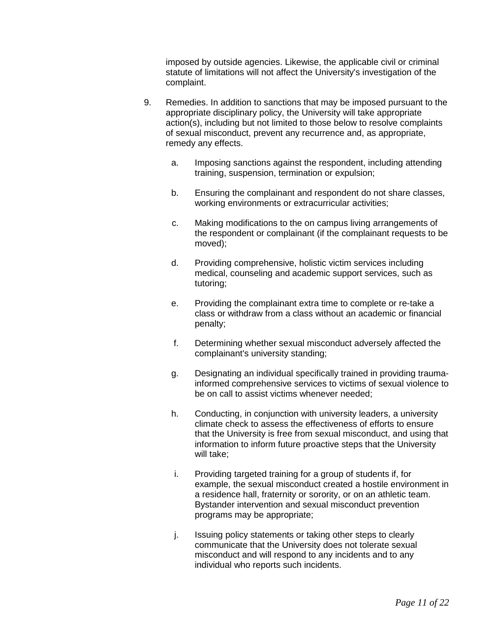imposed by outside agencies. Likewise, the applicable civil or criminal statute of limitations will not affect the University's investigation of the complaint.

- 9. Remedies. In addition to sanctions that may be imposed pursuant to the appropriate disciplinary policy, the University will take appropriate action(s), including but not limited to those below to resolve complaints of sexual misconduct, prevent any recurrence and, as appropriate, remedy any effects.
	- a. Imposing sanctions against the respondent, including attending training, suspension, termination or expulsion;
	- b. Ensuring the complainant and respondent do not share classes, working environments or extracurricular activities;
	- c. Making modifications to the on campus living arrangements of the respondent or complainant (if the complainant requests to be moved);
	- d. Providing comprehensive, holistic victim services including medical, counseling and academic support services, such as tutoring;
	- e. Providing the complainant extra time to complete or re-take a class or withdraw from a class without an academic or financial penalty;
	- f. Determining whether sexual misconduct adversely affected the complainant's university standing;
	- g. Designating an individual specifically trained in providing traumainformed comprehensive services to victims of sexual violence to be on call to assist victims whenever needed;
	- h. Conducting, in conjunction with university leaders, a university climate check to assess the effectiveness of efforts to ensure that the University is free from sexual misconduct, and using that information to inform future proactive steps that the University will take;
	- i. Providing targeted training for a group of students if, for example, the sexual misconduct created a hostile environment in a residence hall, fraternity or sorority, or on an athletic team. Bystander intervention and sexual misconduct prevention programs may be appropriate;
	- j. Issuing policy statements or taking other steps to clearly communicate that the University does not tolerate sexual misconduct and will respond to any incidents and to any individual who reports such incidents.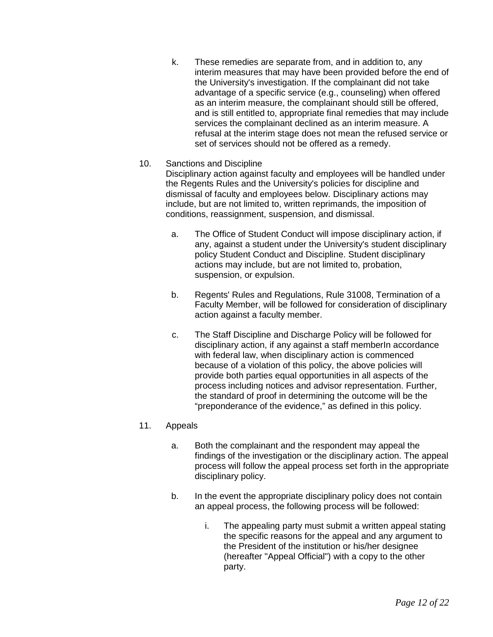k. These remedies are separate from, and in addition to, any interim measures that may have been provided before the end of the University's investigation. If the complainant did not take advantage of a specific service (e.g., counseling) when offered as an interim measure, the complainant should still be offered, and is still entitled to, appropriate final remedies that may include services the complainant declined as an interim measure. A refusal at the interim stage does not mean the refused service or set of services should not be offered as a remedy.

#### 10. Sanctions and Discipline

Disciplinary action against faculty and employees will be handled under the Regents Rules and the University's policies for discipline and dismissal of faculty and employees below. Disciplinary actions may include, but are not limited to, written reprimands, the imposition of conditions, reassignment, suspension, and dismissal.

- a. The Office of Student Conduct will impose disciplinary action, if any, against a student under the University's student disciplinary policy Student Conduct and Discipline. Student disciplinary actions may include, but are not limited to, probation, suspension, or expulsion.
- b. Regents' Rules and Regulations, Rule 31008, Termination of a Faculty Member, will be followed for consideration of disciplinary action against a faculty member.
- c. The Staff Discipline and Discharge Policy will be followed for disciplinary action, if any against a staff member In accordance with federal law, when disciplinary action is commenced because of a violation of this policy, the above policies will provide both parties equal opportunities in all aspects of the process including notices and advisor representation. Further, the standard of proof in determining the outcome will be the "preponderance of the evidence," as defined in this policy.

## 11. Appeals

- a. Both the complainant and the respondent may appeal the findings of the investigation or the disciplinary action. The appeal process will follow the appeal process set forth in the appropriate disciplinary policy.
- b. In the event the appropriate disciplinary policy does not contain an appeal process, the following process will be followed:
	- i. The appealing party must submit a written appeal stating the specific reasons for the appeal and any argument to the President of the institution or his/her designee (hereafter "Appeal Official") with a copy to the other party.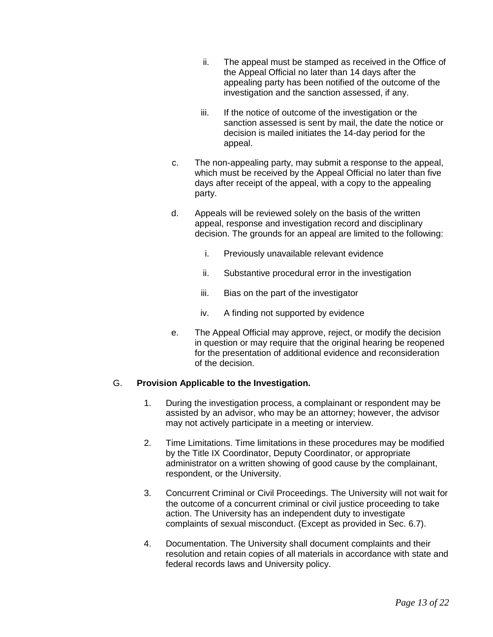- ii. The appeal must be stamped as received in the Office of the Appeal Official no later than 14 days after the appealing party has been notified of the outcome of the investigation and the sanction assessed, if any.
- iii. If the notice of outcome of the investigation or the sanction assessed is sent by mail, the date the notice or decision is mailed initiates the 14-day period for the appeal.
- c. The non-appealing party, may submit a response to the appeal, which must be received by the Appeal Official no later than five days after receipt of the appeal, with a copy to the appealing party.
- d. Appeals will be reviewed solely on the basis of the written appeal, response and investigation record and disciplinary decision. The grounds for an appeal are limited to the following:
	- i. Previously unavailable relevant evidence
	- ii. Substantive procedural error in the investigation
	- iii. Bias on the part of the investigator
	- iv. A finding not supported by evidence
- e. The Appeal Official may approve, reject, or modify the decision in question or may require that the original hearing be reopened for the presentation of additional evidence and reconsideration of the decision.

# G. **Provision Applicable to the Investigation.**

- 1. During the investigation process, a complainant or respondent may be assisted by an advisor, who may be an attorney; however, the advisor may not actively participate in a meeting or interview.
- 2. Time Limitations. Time limitations in these procedures may be modified by the Title IX Coordinator, Deputy Coordinator, or appropriate administrator on a written showing of good cause by the complainant, respondent, or the University.
- 3. Concurrent Criminal or Civil Proceedings. The University will not wait for the outcome of a concurrent criminal or civil justice proceeding to take action. The University has an independent duty to investigate complaints of sexual misconduct. (Except as provided in Sec. 6.7).
- 4. Documentation. The University shall document complaints and their resolution and retain copies of all materials in accordance with state and federal records laws and University policy.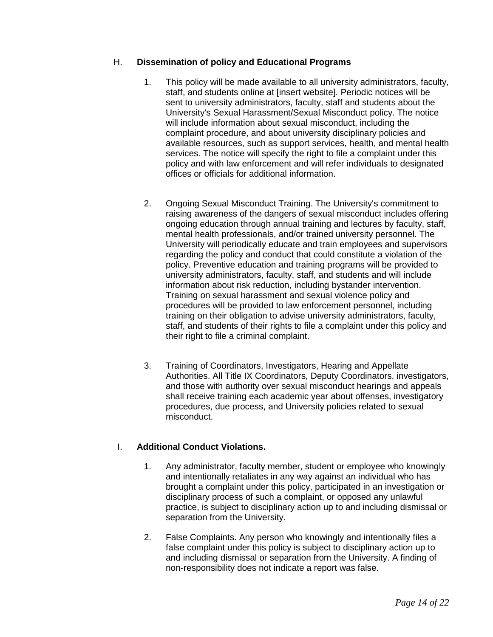# H. **Dissemination of policy and Educational Programs**

- 1. This policy will be made available to all university administrators, faculty, staff, and students online at [insert website]. Periodic notices will be sent to university administrators, faculty, staff and students about the University's Sexual Harassment/Sexual Misconduct policy. The notice will include information about sexual misconduct, including the complaint procedure, and about university disciplinary policies and available resources, such as support services, health, and mental health services. The notice will specify the right to file a complaint under this policy and with law enforcement and will refer individuals to designated offices or officials for additional information.
- 2. Ongoing Sexual Misconduct Training. The University's commitment to raising awareness of the dangers of sexual misconduct includes offering ongoing education through annual training and lectures by faculty, staff, mental health professionals, and/or trained university personnel. The University will periodically educate and train employees and supervisors regarding the policy and conduct that could constitute a violation of the policy. Preventive education and training programs will be provided to university administrators, faculty, staff, and students and will include information about risk reduction, including bystander intervention. Training on sexual harassment and sexual violence policy and procedures will be provided to law enforcement personnel, including training on their obligation to advise university administrators, faculty, staff, and students of their rights to file a complaint under this policy and their right to file a criminal complaint.
- 3. Training of Coordinators, Investigators, Hearing and Appellate Authorities. All Title IX Coordinators, Deputy Coordinators, investigators, and those with authority over sexual misconduct hearings and appeals shall receive training each academic year about offenses, investigatory procedures, due process, and University policies related to sexual misconduct.

# I. **Additional Conduct Violations.**

- 1. Any administrator, faculty member, student or employee who knowingly and intentionally retaliates in any way against an individual who has brought a complaint under this policy, participated in an investigation or disciplinary process of such a complaint, or opposed any unlawful practice, is subject to disciplinary action up to and including dismissal or separation from the University.
- 2. False Complaints. Any person who knowingly and intentionally files a false complaint under this policy is subject to disciplinary action up to and including dismissal or separation from the University. A finding of non-responsibility does not indicate a report was false.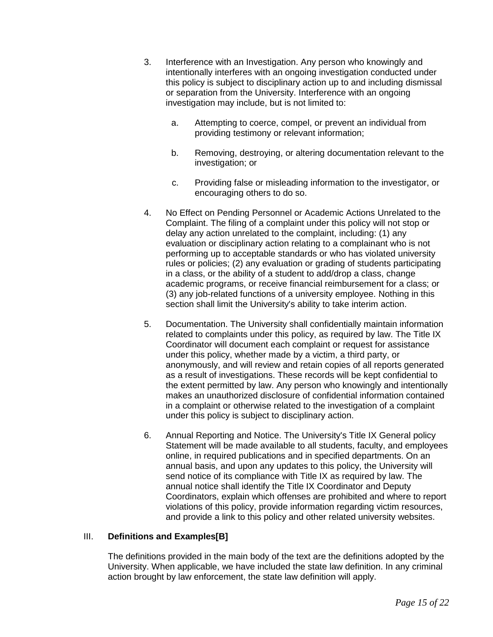- 3. Interference with an Investigation. Any person who knowingly and intentionally interferes with an ongoing investigation conducted under this policy is subject to disciplinary action up to and including dismissal or separation from the University. Interference with an ongoing investigation may include, but is not limited to:
	- a. Attempting to coerce, compel, or prevent an individual from providing testimony or relevant information;
	- b. Removing, destroying, or altering documentation relevant to the investigation; or
	- c. Providing false or misleading information to the investigator, or encouraging others to do so.
- 4. No Effect on Pending Personnel or Academic Actions Unrelated to the Complaint. The filing of a complaint under this policy will not stop or delay any action unrelated to the complaint, including: (1) any evaluation or disciplinary action relating to a complainant who is not performing up to acceptable standards or who has violated university rules or policies; (2) any evaluation or grading of students participating in a class, or the ability of a student to add/drop a class, change academic programs, or receive financial reimbursement for a class; or (3) any job-related functions of a university employee. Nothing in this section shall limit the University's ability to take interim action.
- 5. Documentation. The University shall confidentially maintain information related to complaints under this policy, as required by law. The Title IX Coordinator will document each complaint or request for assistance under this policy, whether made by a victim, a third party, or anonymously, and will review and retain copies of all reports generated as a result of investigations. These records will be kept confidential to the extent permitted by law. Any person who knowingly and intentionally makes an unauthorized disclosure of confidential information contained in a complaint or otherwise related to the investigation of a complaint under this policy is subject to disciplinary action.
- 6. Annual Reporting and Notice. The University's Title IX General policy Statement will be made available to all students, faculty, and employees online, in required publications and in specified departments. On an annual basis, and upon any updates to this policy, the University will send notice of its compliance with Title IX as required by law. The annual notice shall identify the Title IX Coordinator and Deputy Coordinators, explain which offenses are prohibited and where to report violations of this policy, provide information regarding victim resources, and provide a link to this policy and other related university websites.

#### III. **Definitions and Examples[B]**

The definitions provided in the main body of the text are the definitions adopted by the University. When applicable, we have included the state law definition. In any criminal action brought by law enforcement, the state law definition will apply.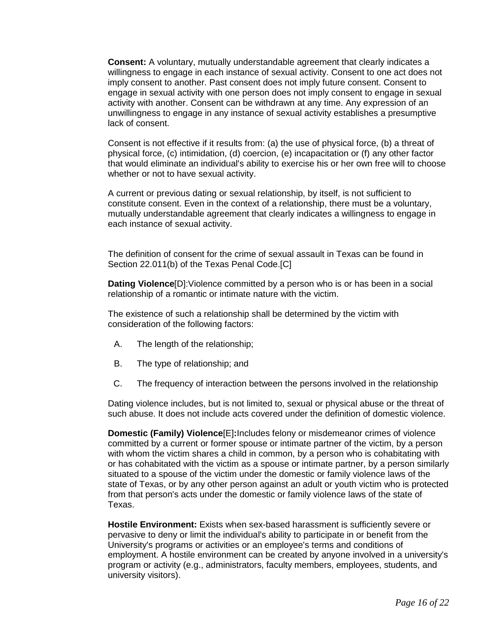**Consent:** A voluntary, mutually understandable agreement that clearly indicates a willingness to engage in each instance of sexual activity. Consent to one act does not imply consent to another. Past consent does not imply future consent. Consent to engage in sexual activity with one person does not imply consent to engage in sexual activity with another. Consent can be withdrawn at any time. Any expression of an unwillingness to engage in any instance of sexual activity establishes a presumptive lack of consent.

Consent is not effective if it results from: (a) the use of physical force, (b) a threat of physical force, (c) intimidation, (d) coercion, (e) incapacitation or (f) any other factor that would eliminate an individual's ability to exercise his or her own free will to choose whether or not to have sexual activity.

A current or previous dating or sexual relationship, by itself, is not sufficient to constitute consent. Even in the context of a relationship, there must be a voluntary, mutually understandable agreement that clearly indicates a willingness to engage in each instance of sexual activity.

The definition of consent for the crime of sexual assault in Texas can be found in Section 22.011(b) of the Texas Penal Code.[C]

**Dating Violence**[D]:Violence committed by a person who is or has been in a social relationship of a romantic or intimate nature with the victim.

The existence of such a relationship shall be determined by the victim with consideration of the following factors:

- A. The length of the relationship;
- B. The type of relationship; and
- C. The frequency of interaction between the persons involved in the relationship

Dating violence includes, but is not limited to, sexual or physical abuse or the threat of such abuse. It does not include acts covered under the definition of domestic violence.

**Domestic (Family) Violence**[E]**:**Includes felony or misdemeanor crimes of violence committed by a current or former spouse or intimate partner of the victim, by a person with whom the victim shares a child in common, by a person who is cohabitating with or has cohabitated with the victim as a spouse or intimate partner, by a person similarly situated to a spouse of the victim under the domestic or family violence laws of the state of Texas, or by any other person against an adult or youth victim who is protected from that person's acts under the domestic or family violence laws of the state of Texas.

**Hostile Environment:** Exists when sex-based harassment is sufficiently severe or pervasive to deny or limit the individual's ability to participate in or benefit from the University's programs or activities or an employee's terms and conditions of employment. A hostile environment can be created by anyone involved in a university's program or activity (e.g., administrators, faculty members, employees, students, and university visitors).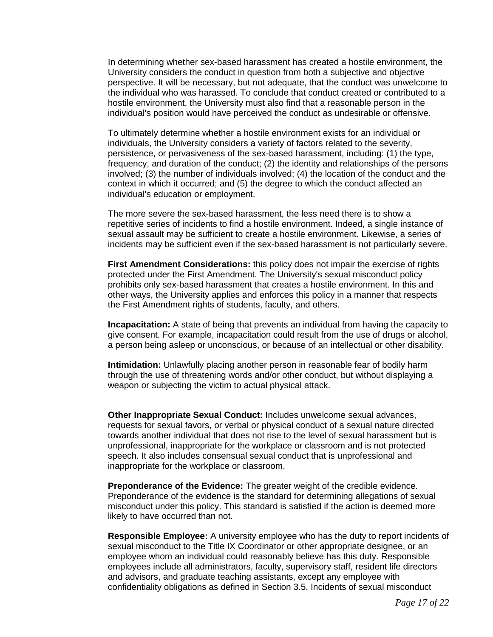In determining whether sex-based harassment has created a hostile environment, the University considers the conduct in question from both a subjective and objective perspective. It will be necessary, but not adequate, that the conduct was unwelcome to the individual who was harassed. To conclude that conduct created or contributed to a hostile environment, the University must also find that a reasonable person in the individual's position would have perceived the conduct as undesirable or offensive.

To ultimately determine whether a hostile environment exists for an individual or individuals, the University considers a variety of factors related to the severity, persistence, or pervasiveness of the sex-based harassment, including: (1) the type, frequency, and duration of the conduct; (2) the identity and relationships of the persons involved; (3) the number of individuals involved; (4) the location of the conduct and the context in which it occurred; and (5) the degree to which the conduct affected an individual's education or employment.

The more severe the sex-based harassment, the less need there is to show a repetitive series of incidents to find a hostile environment. Indeed, a single instance of sexual assault may be sufficient to create a hostile environment. Likewise, a series of incidents may be sufficient even if the sex-based harassment is not particularly severe.

**First Amendment Considerations:** this policy does not impair the exercise of rights protected under the First Amendment. The University's sexual misconduct policy prohibits only sex-based harassment that creates a hostile environment. In this and other ways, the University applies and enforces this policy in a manner that respects the First Amendment rights of students, faculty, and others.

**Incapacitation:** A state of being that prevents an individual from having the capacity to give consent. For example, incapacitation could result from the use of drugs or alcohol, a person being asleep or unconscious, or because of an intellectual or other disability.

**Intimidation:** Unlawfully placing another person in reasonable fear of bodily harm through the use of threatening words and/or other conduct, but without displaying a weapon or subjecting the victim to actual physical attack.

**Other Inappropriate Sexual Conduct:** Includes unwelcome sexual advances, requests for sexual favors, or verbal or physical conduct of a sexual nature directed towards another individual that does not rise to the level of sexual harassment but is unprofessional, inappropriate for the workplace or classroom and is not protected speech. It also includes consensual sexual conduct that is unprofessional and inappropriate for the workplace or classroom.

**Preponderance of the Evidence:** The greater weight of the credible evidence. Preponderance of the evidence is the standard for determining allegations of sexual misconduct under this policy. This standard is satisfied if the action is deemed more likely to have occurred than not.

**Responsible Employee:** A university employee who has the duty to report incidents of sexual misconduct to the Title IX Coordinator or other appropriate designee, or an employee whom an individual could reasonably believe has this duty. Responsible employees include all administrators, faculty, supervisory staff, resident life directors and advisors, and graduate teaching assistants, except any employee with confidentiality obligations as defined in Section 3.5. Incidents of sexual misconduct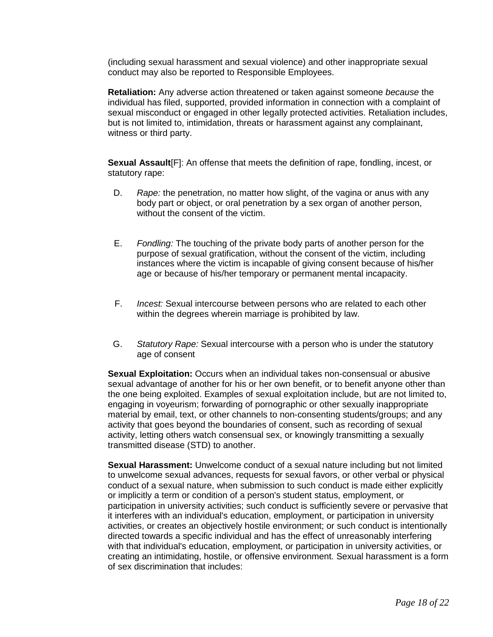(including sexual harassment and sexual violence) and other inappropriate sexual conduct may also be reported to Responsible Employees.

**Retaliation:** Any adverse action threatened or taken against someone *because* the individual has filed, supported, provided information in connection with a complaint of sexual misconduct or engaged in other legally protected activities. Retaliation includes, but is not limited to, intimidation, threats or harassment against any complainant, witness or third party.

**Sexual Assault**[F]: An offense that meets the definition of rape, fondling, incest, or statutory rape:

- D. *Rape:* the penetration, no matter how slight, of the vagina or anus with any body part or object, or oral penetration by a sex organ of another person, without the consent of the victim.
- E. *Fondling:* The touching of the private body parts of another person for the purpose of sexual gratification, without the consent of the victim, including instances where the victim is incapable of giving consent because of his/her age or because of his/her temporary or permanent mental incapacity.
- F. *Incest:* Sexual intercourse between persons who are related to each other within the degrees wherein marriage is prohibited by law.
- G. *Statutory Rape:* Sexual intercourse with a person who is under the statutory age of consent

**Sexual Exploitation:** Occurs when an individual takes non-consensual or abusive sexual advantage of another for his or her own benefit, or to benefit anyone other than the one being exploited. Examples of sexual exploitation include, but are not limited to, engaging in voyeurism; forwarding of pornographic or other sexually inappropriate material by email, text, or other channels to non-consenting students/groups; and any activity that goes beyond the boundaries of consent, such as recording of sexual activity, letting others watch consensual sex, or knowingly transmitting a sexually transmitted disease (STD) to another.

**Sexual Harassment:** Unwelcome conduct of a sexual nature including but not limited to unwelcome sexual advances, requests for sexual favors, or other verbal or physical conduct of a sexual nature, when submission to such conduct is made either explicitly or implicitly a term or condition of a person's student status, employment, or participation in university activities; such conduct is sufficiently severe or pervasive that it interferes with an individual's education, employment, or participation in university activities, or creates an objectively hostile environment; or such conduct is intentionally directed towards a specific individual and has the effect of unreasonably interfering with that individual's education, employment, or participation in university activities, or creating an intimidating, hostile, or offensive environment. Sexual harassment is a form of sex discrimination that includes: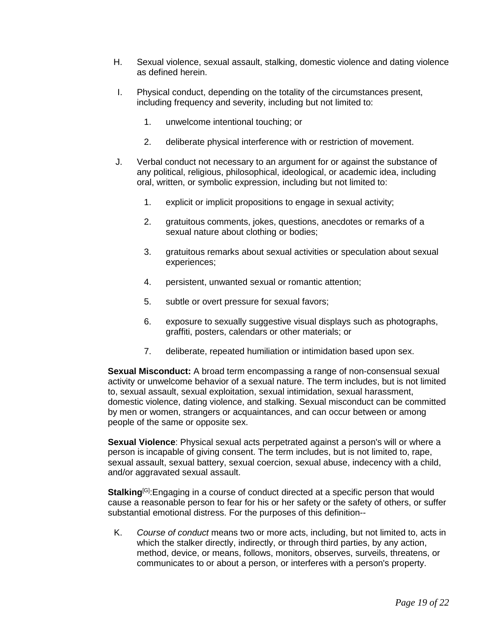- H. Sexual violence, sexual assault, stalking, domestic violence and dating violence as defined herein.
- I. Physical conduct, depending on the totality of the circumstances present, including frequency and severity, including but not limited to:
	- 1. unwelcome intentional touching; or
	- 2. deliberate physical interference with or restriction of movement.
- J. Verbal conduct not necessary to an argument for or against the substance of any political, religious, philosophical, ideological, or academic idea, including oral, written, or symbolic expression, including but not limited to:
	- 1. explicit or implicit propositions to engage in sexual activity;
	- 2. gratuitous comments, jokes, questions, anecdotes or remarks of a sexual nature about clothing or bodies;
	- 3. gratuitous remarks about sexual activities or speculation about sexual experiences;
	- 4. persistent, unwanted sexual or romantic attention;
	- 5. subtle or overt pressure for sexual favors;
	- 6. exposure to sexually suggestive visual displays such as photographs, graffiti, posters, calendars or other materials; or
	- 7. deliberate, repeated humiliation or intimidation based upon sex.

**Sexual Misconduct:** A broad term encompassing a range of non-consensual sexual activity or unwelcome behavior of a sexual nature. The term includes, but is not limited to, sexual assault, sexual exploitation, sexual intimidation, sexual harassment, domestic violence, dating violence, and stalking. Sexual misconduct can be committed by men or women, strangers or acquaintances, and can occur between or among people of the same or opposite sex.

**Sexual Violence**: Physical sexual acts perpetrated against a person's will or where a person is incapable of giving consent. The term includes, but is not limited to, rape, sexual assault, sexual battery, sexual coercion, sexual abuse, indecency with a child, and/or aggravated sexual assault.

**Stalking**[G]:Engaging in a course of conduct directed at a specific person that would cause a reasonable person to fear for his or her safety or the safety of others, or suffer substantial emotional distress. For the purposes of this definition--

K. *Course of conduct* means two or more acts, including, but not limited to, acts in which the stalker directly, indirectly, or through third parties, by any action, method, device, or means, follows, monitors, observes, surveils, threatens, or communicates to or about a person, or interferes with a person's property.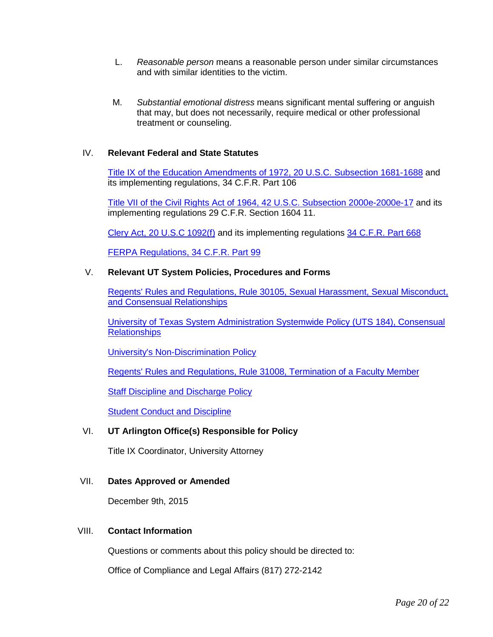- L. *Reasonable person* means a reasonable person under similar circumstances and with similar identities to the victim.
- M. *Substantial emotional distress* means significant mental suffering or anguish that may, but does not necessarily, require medical or other professional treatment or counseling.

#### IV. **Relevant Federal and State Statutes**

[Title IX of the Education Amendments of](http://www.gpo.gov/fdsys/pkg/USCODE-2013-title20/pdf/USCODE-2013-title20-chap38.pdf) 1972, 20 U.S.C. Subsection 1681-1688 and its implementing regulations, 34 C.F.R. Part 106

[Title VII of the Civil Rights Act of 1964, 42 U.S.C. Subsection 2000e-2000e-17](http://www.gpo.gov/fdsys/pkg/USCODE-2013-title42/pdf/USCODE-2013-title42-chap21-subchapVI.pdf) and its implementing regulations 29 C.F.R. Section 1604 11.

[Clery Act, 20 U.S.C 1092\(f\)](http://www.gpo.gov/fdsys/pkg/USCODE-2013-title20/pdf/USCODE-2013-title20-chap28-subchapIV-partF-sec1092.pdf) and its implementing regulations [34 C.F.R. Part 668](http://www.gpo.gov/fdsys/pkg/CFR-2013-title34-vol3/pdf/CFR-2013-title34-vol3-part668.pdf)

[FERPA Regulations, 34 C.F.R. Part 99](http://www.gpo.gov/fdsys/pkg/CFR-2013-title34-vol1/pdf/CFR-2013-title34-vol1-part99.pdf)

#### V. **Relevant UT System Policies, Procedures and Forms**

[Regents' Rules and Regulations, Rule 30105,](http://www.utsystem.edu/board-of-regents/rules/30105-sexual-harassment-and-misconduct-and-inappropriate-consensual-relations) Sexual Harassment, Sexual Misconduct, [and Consensual Relationships](http://www.utsystem.edu/board-of-regents/rules/30105-sexual-harassment-and-misconduct-and-inappropriate-consensual-relations)

[University of Texas System Administration Systemwide Policy \(UTS 184\), Consensual](http://www.utsystem.edu/board-of-regents/policy-library/policies/uts184-consensual-relationships)  **[Relationships](http://www.utsystem.edu/board-of-regents/policy-library/policies/uts184-consensual-relationships)** 

[University's Non-Discrimination Policy](https://www.uta.edu/policy/hop/5-503)

[Regents' Rules and Regulations, Rule 31008, Termination of a Faculty Member](http://www.utsystem.edu/board-of-regents/rules/31008-termination-faculty-member)

[Staff Discipline and Discharge Policy](https://www.uta.edu/policy/procedure/3-27)

[Student Conduct and Discipline](https://www.uta.edu/policy/hop/9)

#### VI. **UT Arlington Office(s) Responsible for Policy**

Title IX Coordinator, University Attorney

#### VII. **Dates Approved or Amended**

December 9th, 2015

#### VIII. **Contact Information**

Questions or comments about this policy should be directed to:

Office of Compliance and Legal Affairs (817) 272-2142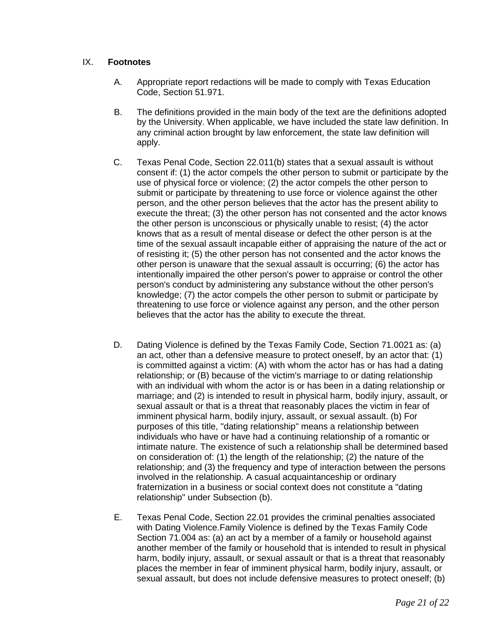## IX. **Footnotes**

- A. Appropriate report redactions will be made to comply with Texas Education Code, Section 51.971.
- B. The definitions provided in the main body of the text are the definitions adopted by the University. When applicable, we have included the state law definition. In any criminal action brought by law enforcement, the state law definition will apply.
- C. Texas Penal Code, Section 22.011(b) states that a sexual assault is without consent if: (1) the actor compels the other person to submit or participate by the use of physical force or violence; (2) the actor compels the other person to submit or participate by threatening to use force or violence against the other person, and the other person believes that the actor has the present ability to execute the threat; (3) the other person has not consented and the actor knows the other person is unconscious or physically unable to resist; (4) the actor knows that as a result of mental disease or defect the other person is at the time of the sexual assault incapable either of appraising the nature of the act or of resisting it; (5) the other person has not consented and the actor knows the other person is unaware that the sexual assault is occurring; (6) the actor has intentionally impaired the other person's power to appraise or control the other person's conduct by administering any substance without the other person's knowledge; (7) the actor compels the other person to submit or participate by threatening to use force or violence against any person, and the other person believes that the actor has the ability to execute the threat.
- D. Dating Violence is defined by the Texas Family Code, Section 71.0021 as: (a) an act, other than a defensive measure to protect oneself, by an actor that: (1) is committed against a victim: (A) with whom the actor has or has had a dating relationship; or (B) because of the victim's marriage to or dating relationship with an individual with whom the actor is or has been in a dating relationship or marriage; and (2) is intended to result in physical harm, bodily injury, assault, or sexual assault or that is a threat that reasonably places the victim in fear of imminent physical harm, bodily injury, assault, or sexual assault. (b) For purposes of this title, "dating relationship" means a relationship between individuals who have or have had a continuing relationship of a romantic or intimate nature. The existence of such a relationship shall be determined based on consideration of: (1) the length of the relationship; (2) the nature of the relationship; and (3) the frequency and type of interaction between the persons involved in the relationship. A casual acquaintanceship or ordinary fraternization in a business or social context does not constitute a "dating relationship" under Subsection (b).
- E. Texas Penal Code, Section 22.01 provides the criminal penalties associated with Dating Violence.Family Violence is defined by the Texas Family Code Section 71.004 as: (a) an act by a member of a family or household against another member of the family or household that is intended to result in physical harm, bodily injury, assault, or sexual assault or that is a threat that reasonably places the member in fear of imminent physical harm, bodily injury, assault, or sexual assault, but does not include defensive measures to protect oneself; (b)